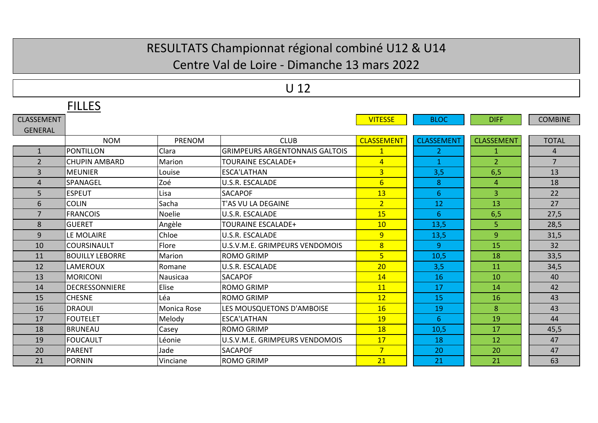#### Centre Val de Loire ‐ Dimanche 13 mars 2022

|                   |                        |                    | ◡⊥∠                                   |                   |                   |                   |                |
|-------------------|------------------------|--------------------|---------------------------------------|-------------------|-------------------|-------------------|----------------|
|                   | <b>FILLES</b>          |                    |                                       |                   |                   |                   |                |
| <b>CLASSEMENT</b> |                        |                    |                                       | <b>VITESSE</b>    | <b>BLOC</b>       | <b>DIFF</b>       | <b>COMBINE</b> |
| <b>GENERAL</b>    |                        |                    |                                       |                   |                   |                   |                |
|                   | <b>NOM</b>             | <b>PRENOM</b>      | <b>CLUB</b>                           | <b>CLASSEMENT</b> | <b>CLASSEMENT</b> | <b>CLASSEMENT</b> | <b>TOTAL</b>   |
| $\mathbf{1}$      | <b>PONTILLON</b>       | Clara              | <b>GRIMPEURS ARGENTONNAIS GALTOIS</b> | $\mathbf{1}$      | $\overline{2}$    | $\mathbf{1}$      | 4              |
| $\overline{2}$    | <b>CHUPIN AMBARD</b>   | Marion             | <b>TOURAINE ESCALADE+</b>             | $\overline{4}$    | $\mathbf{1}$      | 2 <sup>1</sup>    | $\overline{7}$ |
| $\overline{3}$    | <b>MEUNIER</b>         | Louise             | <b>ESCA'LATHAN</b>                    | 3                 | 3,5               | 6,5               | 13             |
| $\overline{a}$    | <b>SPANAGEL</b>        | Zoé                | U.S.R. ESCALADE                       | $6\overline{6}$   | 8                 | 4                 | 18             |
| 5.                | <b>ESPEUT</b>          | Lisa               | <b>SACAPOF</b>                        | 13                | 6                 | 3                 | 22             |
| 6                 | <b>COLIN</b>           | Sacha              | T'AS VU LA DEGAINE                    | $\overline{2}$    | 12                | 13                | 27             |
| 7                 | <b>FRANCOIS</b>        | <b>Noelie</b>      | U.S.R. ESCALADE                       | 15                | 6                 | 6,5               | 27,5           |
| 8                 | <b>GUERET</b>          | Angèle             | <b>TOURAINE ESCALADE+</b>             | 10                | 13,5              | 5.                | 28,5           |
| 9                 | LE MOLAIRE             | Chloe              | U.S.R. ESCALADE                       | 9                 | 13,5              | $\overline{9}$    | 31,5           |
| 10                | <b>COURSINAULT</b>     | Flore              | U.S.V.M.E. GRIMPEURS VENDOMOIS        | 8                 | $\overline{9}$    | 15                | 32             |
| 11                | <b>BOUILLY LEBORRE</b> | Marion             | <b>ROMO GRIMP</b>                     | 5                 | 10,5              | 18                | 33,5           |
| 12                | LAMEROUX               | Romane             | U.S.R. ESCALADE                       | 20                | 3,5               | 11                | 34,5           |
| 13                | <b>MORICONI</b>        | Nausicaa           | <b>SACAPOF</b>                        | 14                | 16                | 10                | 40             |
| 14                | <b>DECRESSONNIERE</b>  | Elise              | <b>ROMO GRIMP</b>                     | 11                | 17                | 14                | 42             |
| 15                | <b>CHESNE</b>          | Léa                | <b>ROMO GRIMP</b>                     | 12                | 15                | 16                | 43             |
| 16                | <b>DRAOUI</b>          | <b>Monica Rose</b> | LES MOUSQUETONS D'AMBOISE             | 16                | 19                | 8                 | 43             |
| 17                | <b>FOUTELET</b>        | Melody             | <b>ESCA'LATHAN</b>                    | 19                | 6.                | 19                | 44             |
| 18                | <b>BRUNEAU</b>         | Casey              | <b>ROMO GRIMP</b>                     | 18                | 10,5              | 17                | 45,5           |
| 19                | <b>FOUCAULT</b>        | Léonie             | U.S.V.M.E. GRIMPEURS VENDOMOIS        | 17                | 18                | 12                | 47             |
| 20                | <b>PARENT</b>          | Jade               | <b>SACAPOF</b>                        | $\overline{7}$    | 20                | 20                | 47             |
| 21                | PORNIN                 | Vinciane           | <b>ROMO GRIMP</b>                     | 21                | 21                | 21                | 63             |

U 12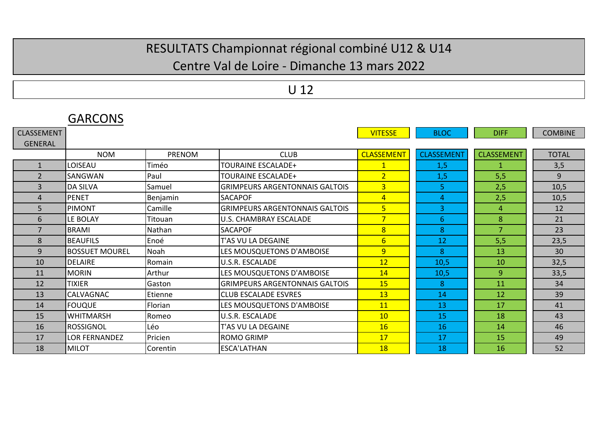#### Centre Val de Loire ‐ Dimanche 13 mars 2022

### U 12

|                   | <b>UARLUNS</b>        |               |                                       |                   |                   |                   |                |
|-------------------|-----------------------|---------------|---------------------------------------|-------------------|-------------------|-------------------|----------------|
| <b>CLASSEMENT</b> |                       |               |                                       | <b>VITESSE</b>    | <b>BLOC</b>       | <b>DIFF</b>       | <b>COMBINE</b> |
| <b>GENERAL</b>    |                       |               |                                       |                   |                   |                   |                |
|                   | <b>NOM</b>            | <b>PRENOM</b> | <b>CLUB</b>                           | <b>CLASSEMENT</b> | <b>CLASSEMENT</b> | <b>CLASSEMENT</b> | <b>TOTAL</b>   |
| $\mathbf{1}$      | LOISEAU               | Timéo         | <b>TOURAINE ESCALADE+</b>             | $\overline{1}$    | 1,5               | $\mathbf{1}$      | 3,5            |
| $\overline{2}$    | <b>SANGWAN</b>        | Paul          | <b>TOURAINE ESCALADE+</b>             | $\overline{2}$    | 1,5               | 5,5               | 9              |
| 3                 | <b>DA SILVA</b>       | Samuel        | <b>GRIMPEURS ARGENTONNAIS GALTOIS</b> | 3 <sup>1</sup>    | 5                 | 2,5               | 10,5           |
| 4                 | <b>PENET</b>          | Benjamin      | <b>SACAPOF</b>                        | 4 <sup>1</sup>    | 4                 | 2,5               | 10,5           |
| 5                 | <b>PIMONT</b>         | Camille       | IGRIMPEURS ARGENTONNAIS GALTOIS       | 5 <sub>5</sub>    | 3                 | 4                 | 12             |
| 6                 | LE BOLAY              | Titouan       | <b>U.S. CHAMBRAY ESCALADE</b>         | $\overline{7}$    | 6                 | 8                 | 21             |
| $\overline{7}$    | <b>BRAMI</b>          | Nathan        | <b>SACAPOF</b>                        | 8                 | 8                 | $\overline{7}$    | 23             |
| 8                 | <b>BEAUFILS</b>       | Enoé          | T'AS VU LA DEGAINE                    | $6 \overline{}$   | 12                | 5,5               | 23,5           |
| 9                 | <b>BOSSUET MOUREL</b> | Noah          | LES MOUSQUETONS D'AMBOISE             | 9 <sup>°</sup>    | 8                 | 13                | 30             |
| 10                | DELAIRE               | Romain        | <b>U.S.R. ESCALADE</b>                | 12                | 10,5              | 10                | 32,5           |
| 11                | <b>MORIN</b>          | Arthur        | LES MOUSQUETONS D'AMBOISE             | 14                | 10,5              | 9                 | 33,5           |
| 12                | <b>TIXIER</b>         | Gaston        | <b>GRIMPEURS ARGENTONNAIS GALTOIS</b> | <b>15</b>         | 8                 | <b>11</b>         | 34             |
| 13                | <b>CALVAGNAC</b>      | Etienne       | <b>CLUB ESCALADE ESVRES</b>           | 13                | 14                | 12                | 39             |
| 14                | <b>FOUQUE</b>         | Florian       | LES MOUSQUETONS D'AMBOISE             | 11                | 13                | 17                | 41             |
| 15                | <b>WHITMARSH</b>      | Romeo         | U.S.R. ESCALADE                       | 10                | 15                | 18                | 43             |
| 16                | IROSSIGNOL            | Léo           | T'AS VU LA DEGAINE                    | 16                | 16                | 14                | 46             |
| 17                | <b>LOR FERNANDEZ</b>  | Pricien       | <b>ROMO GRIMP</b>                     | 17                | 17                | 15                | 49             |
| 18                | <b>MILOT</b>          | Corentin      | <b>ESCA'LATHAN</b>                    | <b>18</b>         | 18                | 16                | 52             |

# CARCONIC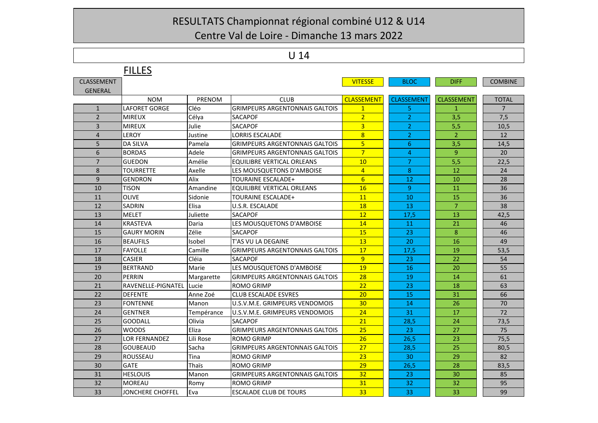Centre Val de Loire ‐ Dimanche 13 mars 2022

#### U 14

|                   | <b>FILLES</b>             |            |                                       |                   |                   |                   |                |
|-------------------|---------------------------|------------|---------------------------------------|-------------------|-------------------|-------------------|----------------|
| <b>CLASSEMENT</b> |                           |            |                                       | <b>VITESSE</b>    | <b>BLOC</b>       | <b>DIFF</b>       | <b>COMBINE</b> |
| <b>GENERAL</b>    |                           |            |                                       |                   |                   |                   |                |
|                   | <b>NOM</b>                | PRENOM     | <b>CLUB</b>                           | <b>CLASSEMENT</b> | <b>CLASSEMENT</b> | <b>CLASSEMENT</b> | <b>TOTAL</b>   |
| $\mathbf{1}$      | <b>LAFORET GORGE</b>      | Cléo       | <b>GRIMPEURS ARGENTONNAIS GALTOIS</b> | $\mathbf{1}$      | 5                 | 1                 | $\overline{7}$ |
| $\overline{2}$    | <b>MIREUX</b>             | Célya      | <b>SACAPOF</b>                        | $\overline{2}$    | $\overline{2}$    | 3,5               | 7,5            |
| 3                 | <b>MIREUX</b>             | Julie      | <b>SACAPOF</b>                        | $\overline{3}$    | $\overline{2}$    | 5,5               | 10,5           |
| $\overline{4}$    | <b>LEROY</b>              | Justine    | LORRIS ESCALADE                       | $\overline{8}$    | $\overline{2}$    | $\overline{2}$    | 12             |
| 5                 | <b>DA SILVA</b>           | Pamela     | <b>GRIMPEURS ARGENTONNAIS GALTOIS</b> | 5                 | 6                 | 3,5               | 14,5           |
| 6                 | <b>BORDAS</b>             | Adele      | <b>GRIMPEURS ARGENTONNAIS GALTOIS</b> | $\overline{7}$    | 4                 | 9                 | 20             |
| $\overline{7}$    | <b>GUEDON</b>             | Amélie     | EQUILIBRE VERTICAL ORLEANS            | 10                | $\overline{7}$    | 5,5               | 22.5           |
| 8                 | <b>TOURRETTE</b>          | Axelle     | LES MOUSQUETONS D'AMBOISE             | $\overline{4}$    | 8                 | 12                | 24             |
| 9                 | <b>GENDRON</b>            | Alix       | <b>TOURAINE ESCALADE+</b>             | $6\overline{6}$   | 12                | 10                | 28             |
| 10                | <b>TISON</b>              | Amandine   | EQUILIBRE VERTICAL ORLEANS            | 16                | 9                 | 11                | 36             |
| 11                | OLIVE                     | Sidonie    | <b>TOURAINE ESCALADE+</b>             | 11                | 10                | 15                | 36             |
| 12                | <b>SADRIN</b>             | Elisa      | U.S.R. ESCALADE                       | 18                | 13                | $\overline{7}$    | 38             |
| 13                | <b>MELET</b>              | Juliette   | <b>SACAPOF</b>                        | 12                | 17,5              | 13                | 42,5           |
| 14                | <b>KRASTEVA</b>           | Daria      | LES MOUSQUETONS D'AMBOISE             | 14                | 11                | 21                | 46             |
| 15                | <b>GAURY MORIN</b>        | Zélie      | <b>SACAPOF</b>                        | 15                | 23                | 8                 | 46             |
| 16                | <b>BEAUFILS</b>           | Isobel     | T'AS VU LA DEGAINE                    | 13                | 20                | 16                | 49             |
| 17                | <b>FAYOLLE</b>            | Camille    | <b>GRIMPEURS ARGENTONNAIS GALTOIS</b> | 17                | 17,5              | 19                | 53,5           |
| 18                | <b>CASIER</b>             | Cléia      | <b>SACAPOF</b>                        | $\overline{9}$    | 23                | 22                | 54             |
| 19                | <b>BERTRAND</b>           | Marie      | LES MOUSQUETONS D'AMBOISE             | 19                | 16                | 20                | 55             |
| 20                | PERRIN                    | Margarette | <b>GRIMPEURS ARGENTONNAIS GALTOIS</b> | 28                | 19                | 14                | 61             |
| 21                | <b>RAVENELLE-PIGNATEL</b> | Lucie      | <b>ROMO GRIMP</b>                     | 22                | 23                | 18                | 63             |
| 22                | <b>DEFENTE</b>            | Anne Zoé   | <b>CLUB ESCALADE ESVRES</b>           | 20                | 15                | 31                | 66             |
| 23                | <b>FONTENNE</b>           | Manon      | U.S.V.M.E. GRIMPEURS VENDOMOIS        | 30                | 14                | 26                | 70             |
| 24                | <b>GENTNER</b>            | Tempérance | U.S.V.M.E. GRIMPEURS VENDOMOIS        | 24                | 31                | 17                | 72             |
| 25                | <b>GOODALL</b>            | Olivia     | <b>SACAPOF</b>                        | 21                | 28,5              | 24                | 73,5           |
| 26                | <b>WOODS</b>              | Eliza      | <b>GRIMPEURS ARGENTONNAIS GALTOIS</b> | 25                | 23                | 27                | 75             |
| 27                | <b>LOR FERNANDEZ</b>      | Lili Rose  | <b>ROMO GRIMP</b>                     | 26                | 26,5              | 23                | 75,5           |
| 28                | <b>GOUBEAUD</b>           | Sacha      | <b>GRIMPEURS ARGENTONNAIS GALTOIS</b> | 27                | 28,5              | 25                | 80,5           |
| 29                | <b>ROUSSEAU</b>           | Tina       | <b>ROMO GRIMP</b>                     | 23                | 30                | 29                | 82             |
| 30                | GATE                      | Thaïs      | <b>ROMO GRIMP</b>                     | 29                | 26,5              | 28                | 83,5           |
| 31                | <b>HESLOUIS</b>           | Manon      | <b>GRIMPEURS ARGENTONNAIS GALTOIS</b> | 32                | 23                | 30                | 85             |
| 32                | <b>MOREAU</b>             | Romy       | <b>ROMO GRIMP</b>                     | 31                | 32                | 32                | 95             |
| 33                | JONCHERE CHOFFEL          | Eva        | <b>ESCALADE CLUB DE TOURS</b>         | 33                | 33                | 33                | 99             |